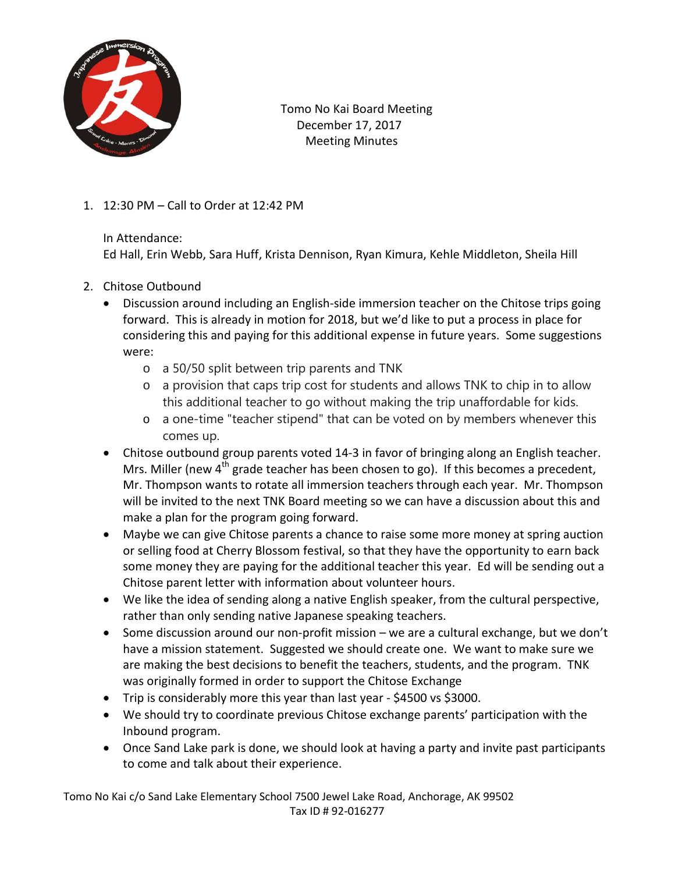

 Tomo No Kai Board Meeting December 17, 2017 Meeting Minutes

1. 12:30 PM – Call to Order at 12:42 PM

In Attendance:

Ed Hall, Erin Webb, Sara Huff, Krista Dennison, Ryan Kimura, Kehle Middleton, Sheila Hill

- 2. Chitose Outbound
	- Discussion around including an English-side immersion teacher on the Chitose trips going forward. This is already in motion for 2018, but we'd like to put a process in place for considering this and paying for this additional expense in future years. Some suggestions were:
		- o a 50/50 split between trip parents and TNK
		- o a provision that caps trip cost for students and allows TNK to chip in to allow this additional teacher to go without making the trip unaffordable for kids.
		- o a one-time "teacher stipend" that can be voted on by members whenever this comes up.
	- Chitose outbound group parents voted 14-3 in favor of bringing along an English teacher. Mrs. Miller (new  $4<sup>th</sup>$  grade teacher has been chosen to go). If this becomes a precedent, Mr. Thompson wants to rotate all immersion teachers through each year. Mr. Thompson will be invited to the next TNK Board meeting so we can have a discussion about this and make a plan for the program going forward.
	- Maybe we can give Chitose parents a chance to raise some more money at spring auction or selling food at Cherry Blossom festival, so that they have the opportunity to earn back some money they are paying for the additional teacher this year. Ed will be sending out a Chitose parent letter with information about volunteer hours.
	- We like the idea of sending along a native English speaker, from the cultural perspective, rather than only sending native Japanese speaking teachers.
	- Some discussion around our non-profit mission we are a cultural exchange, but we don't have a mission statement. Suggested we should create one. We want to make sure we are making the best decisions to benefit the teachers, students, and the program. TNK was originally formed in order to support the Chitose Exchange
	- Trip is considerably more this year than last year \$4500 vs \$3000.
	- We should try to coordinate previous Chitose exchange parents' participation with the Inbound program.
	- Once Sand Lake park is done, we should look at having a party and invite past participants to come and talk about their experience.

Tomo No Kai c/o Sand Lake Elementary School 7500 Jewel Lake Road, Anchorage, AK 99502 Tax ID # 92-016277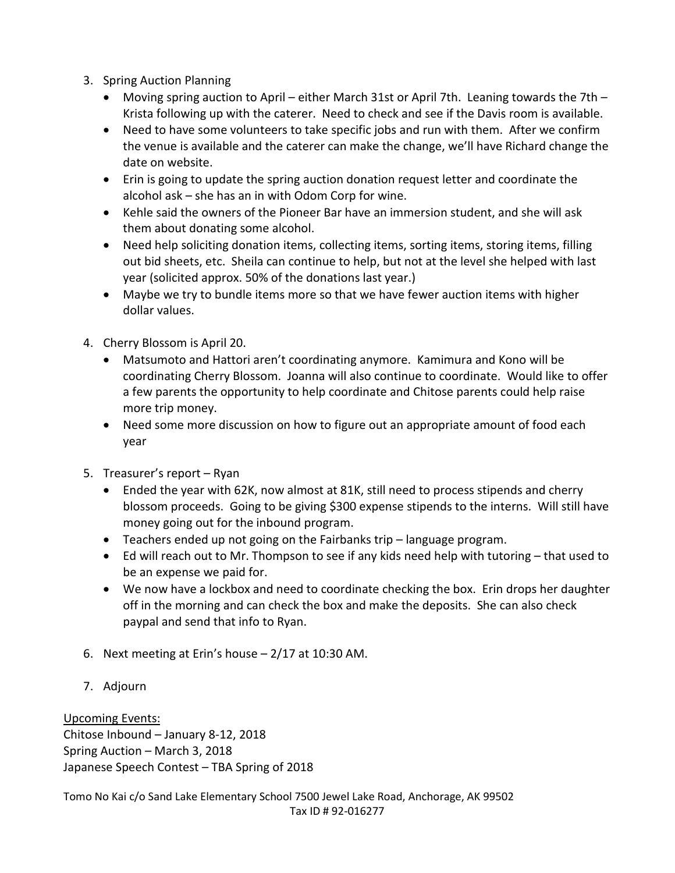- 3. Spring Auction Planning
	- Moving spring auction to April either March 31st or April 7th. Leaning towards the 7th Krista following up with the caterer. Need to check and see if the Davis room is available.
	- Need to have some volunteers to take specific jobs and run with them. After we confirm the venue is available and the caterer can make the change, we'll have Richard change the date on website.
	- Erin is going to update the spring auction donation request letter and coordinate the alcohol ask – she has an in with Odom Corp for wine.
	- Kehle said the owners of the Pioneer Bar have an immersion student, and she will ask them about donating some alcohol.
	- Need help soliciting donation items, collecting items, sorting items, storing items, filling out bid sheets, etc. Sheila can continue to help, but not at the level she helped with last year (solicited approx. 50% of the donations last year.)
	- Maybe we try to bundle items more so that we have fewer auction items with higher dollar values.
- 4. Cherry Blossom is April 20.
	- Matsumoto and Hattori aren't coordinating anymore. Kamimura and Kono will be coordinating Cherry Blossom. Joanna will also continue to coordinate. Would like to offer a few parents the opportunity to help coordinate and Chitose parents could help raise more trip money.
	- Need some more discussion on how to figure out an appropriate amount of food each year
- 5. Treasurer's report Ryan
	- Ended the year with 62K, now almost at 81K, still need to process stipends and cherry blossom proceeds. Going to be giving \$300 expense stipends to the interns. Will still have money going out for the inbound program.
	- Teachers ended up not going on the Fairbanks trip language program.
	- Ed will reach out to Mr. Thompson to see if any kids need help with tutoring that used to be an expense we paid for.
	- We now have a lockbox and need to coordinate checking the box. Erin drops her daughter off in the morning and can check the box and make the deposits. She can also check paypal and send that info to Ryan.
- 6. Next meeting at Erin's house 2/17 at 10:30 AM.
- 7. Adjourn

Upcoming Events: Chitose Inbound – January 8-12, 2018 Spring Auction – March 3, 2018 Japanese Speech Contest – TBA Spring of 2018

Tomo No Kai c/o Sand Lake Elementary School 7500 Jewel Lake Road, Anchorage, AK 99502 Tax ID # 92-016277